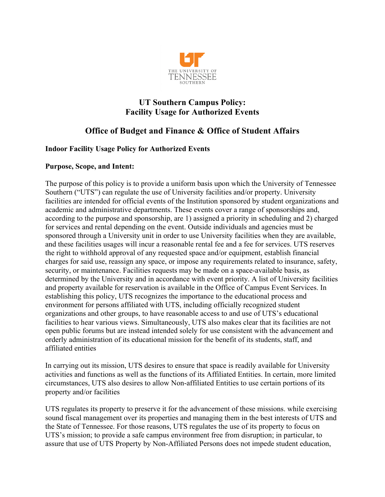

### **UT Southern Campus Policy: Facility Usage for Authorized Events**

# **Office of Budget and Finance & Office of Student Affairs**

#### **Indoor Facility Usage Policy for Authorized Events**

#### **Purpose, Scope, and Intent:**

The purpose of this policy is to provide a uniform basis upon which the University of Tennessee Southern ("UTS") can regulate the use of University facilities and/or property. University facilities are intended for official events of the Institution sponsored by student organizations and academic and administrative departments. These events cover a range of sponsorships and, according to the purpose and sponsorship, are 1) assigned a priority in scheduling and 2) charged for services and rental depending on the event. Outside individuals and agencies must be sponsored through a University unit in order to use University facilities when they are available, and these facilities usages will incur a reasonable rental fee and a fee for services. UTS reserves the right to withhold approval of any requested space and/or equipment, establish financial charges for said use, reassign any space, or impose any requirements related to insurance, safety, security, or maintenance. Facilities requests may be made on a space-available basis, as determined by the University and in accordance with event priority. A list of University facilities and property available for reservation is available in the Office of Campus Event Services. In establishing this policy, UTS recognizes the importance to the educational process and environment for persons affiliated with UTS, including officially recognized student organizations and other groups, to have reasonable access to and use of UTS's educational facilities to hear various views. Simultaneously, UTS also makes clear that its facilities are not open public forums but are instead intended solely for use consistent with the advancement and orderly administration of its educational mission for the benefit of its students, staff, and affiliated entities

In carrying out its mission, UTS desires to ensure that space is readily available for University activities and functions as well as the functions of its Affiliated Entities. In certain, more limited circumstances, UTS also desires to allow Non-affiliated Entities to use certain portions of its property and/or facilities

UTS regulates its property to preserve it for the advancement of these missions. while exercising sound fiscal management over its properties and managing them in the best interests of UTS and the State of Tennessee. For those reasons, UTS regulates the use of its property to focus on UTS's mission; to provide a safe campus environment free from disruption; in particular, to assure that use of UTS Property by Non-Affiliated Persons does not impede student education,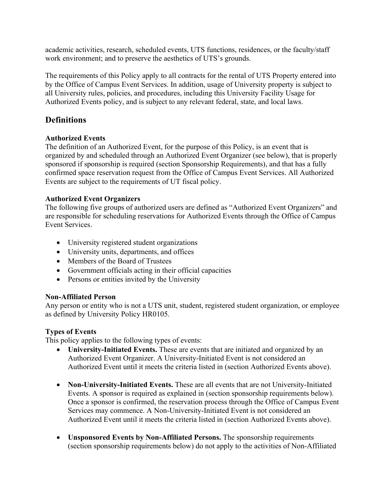academic activities, research, scheduled events, UTS functions, residences, or the faculty/staff work environment; and to preserve the aesthetics of UTS's grounds.

The requirements of this Policy apply to all contracts for the rental of UTS Property entered into by the Office of Campus Event Services. In addition, usage of University property is subject to all University rules, policies, and procedures, including this University Facility Usage for Authorized Events policy, and is subject to any relevant federal, state, and local laws.

# **Definitions**

#### **Authorized Events**

The definition of an Authorized Event, for the purpose of this Policy, is an event that is organized by and scheduled through an Authorized Event Organizer (see below), that is properly sponsored if sponsorship is required (section Sponsorship Requirements), and that has a fully confirmed space reservation request from the Office of Campus Event Services. All Authorized Events are subject to the requirements of UT fiscal policy.

#### **Authorized Event Organizers**

The following five groups of authorized users are defined as "Authorized Event Organizers" and are responsible for scheduling reservations for Authorized Events through the Office of Campus Event Services.

- University registered student organizations
- University units, departments, and offices
- Members of the Board of Trustees
- Government officials acting in their official capacities
- Persons or entities invited by the University

#### **Non-Affiliated Person**

Any person or entity who is not a UTS unit, student, registered student organization, or employee as defined by University Policy HR0105.

#### **Types of Events**

This policy applies to the following types of events:

- **University-Initiated Events.** These are events that are initiated and organized by an Authorized Event Organizer. A University-Initiated Event is not considered an Authorized Event until it meets the criteria listed in (section Authorized Events above).
- **Non-University-Initiated Events.** These are all events that are not University-Initiated Events. A sponsor is required as explained in (section sponsorship requirements below). Once a sponsor is confirmed, the reservation process through the Office of Campus Event Services may commence. A Non-University-Initiated Event is not considered an Authorized Event until it meets the criteria listed in (section Authorized Events above).
- **Unsponsored Events by Non-Affiliated Persons.** The sponsorship requirements (section sponsorship requirements below) do not apply to the activities of Non-Affiliated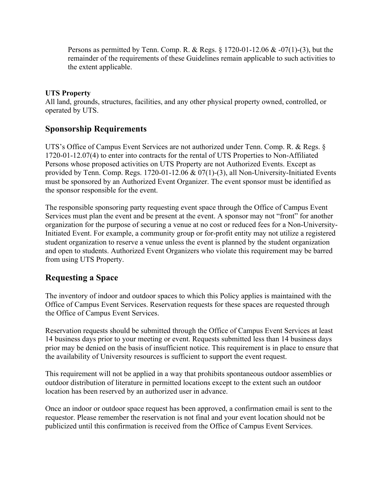Persons as permitted by Tenn. Comp. R. & Regs.  $\S 1720-01-12.06 \& -07(1)-(3)$ , but the remainder of the requirements of these Guidelines remain applicable to such activities to the extent applicable.

#### **UTS Property**

All land, grounds, structures, facilities, and any other physical property owned, controlled, or operated by UTS.

### **Sponsorship Requirements**

UTS's Office of Campus Event Services are not authorized under Tenn. Comp. R. & Regs. § 1720-01-12.07(4) to enter into contracts for the rental of UTS Properties to Non-Affiliated Persons whose proposed activities on UTS Property are not Authorized Events. Except as provided by Tenn. Comp. Regs. 1720-01-12.06 & 07(1)-(3), all Non-University-Initiated Events must be sponsored by an Authorized Event Organizer. The event sponsor must be identified as the sponsor responsible for the event.

The responsible sponsoring party requesting event space through the Office of Campus Event Services must plan the event and be present at the event. A sponsor may not "front" for another organization for the purpose of securing a venue at no cost or reduced fees for a Non-University-Initiated Event. For example, a community group or for-profit entity may not utilize a registered student organization to reserve a venue unless the event is planned by the student organization and open to students. Authorized Event Organizers who violate this requirement may be barred from using UTS Property.

### **Requesting a Space**

The inventory of indoor and outdoor spaces to which this Policy applies is maintained with the Office of Campus Event Services. Reservation requests for these spaces are requested through the Office of Campus Event Services.

Reservation requests should be submitted through the Office of Campus Event Services at least 14 business days prior to your meeting or event. Requests submitted less than 14 business days prior may be denied on the basis of insufficient notice. This requirement is in place to ensure that the availability of University resources is sufficient to support the event request.

This requirement will not be applied in a way that prohibits spontaneous outdoor assemblies or outdoor distribution of literature in permitted locations except to the extent such an outdoor location has been reserved by an authorized user in advance.

Once an indoor or outdoor space request has been approved, a confirmation email is sent to the requestor. Please remember the reservation is not final and your event location should not be publicized until this confirmation is received from the Office of Campus Event Services.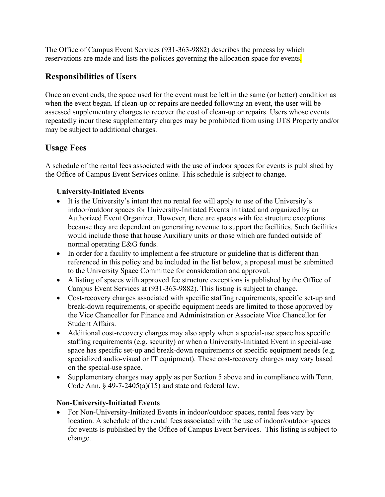The Office of Campus Event Services (931-363-9882) describes the process by which reservations are made and lists the policies governing the allocation space for events.

# **Responsibilities of Users**

Once an event ends, the space used for the event must be left in the same (or better) condition as when the event began. If clean-up or repairs are needed following an event, the user will be assessed supplementary charges to recover the cost of clean-up or repairs. Users whose events repeatedly incur these supplementary charges may be prohibited from using UTS Property and/or may be subject to additional charges.

### **Usage Fees**

A schedule of the rental fees associated with the use of indoor spaces for events is published by the Office of Campus Event Services online. This schedule is subject to change.

#### **University-Initiated Events**

- It is the University's intent that no rental fee will apply to use of the University's indoor/outdoor spaces for University-Initiated Events initiated and organized by an Authorized Event Organizer. However, there are spaces with fee structure exceptions because they are dependent on generating revenue to support the facilities. Such facilities would include those that house Auxiliary units or those which are funded outside of normal operating E&G funds.
- In order for a facility to implement a fee structure or guideline that is different than referenced in this policy and be included in the list below, a proposal must be submitted to the University Space Committee for consideration and approval.
- A listing of spaces with approved fee structure exceptions is published by the Office of Campus Event Services at (931-363-9882). This listing is subject to change.
- Cost-recovery charges associated with specific staffing requirements, specific set-up and break-down requirements, or specific equipment needs are limited to those approved by the Vice Chancellor for Finance and Administration or Associate Vice Chancellor for Student Affairs.
- Additional cost-recovery charges may also apply when a special-use space has specific staffing requirements (e.g. security) or when a University-Initiated Event in special-use space has specific set-up and break-down requirements or specific equipment needs (e.g. specialized audio-visual or IT equipment). These cost-recovery charges may vary based on the special-use space.
- Supplementary charges may apply as per Section 5 above and in compliance with Tenn. Code Ann.  $\S$  49-7-2405(a)(15) and state and federal law.

#### **Non-University-Initiated Events**

• For Non-University-Initiated Events in indoor/outdoor spaces, rental fees vary by location. A schedule of the rental fees associated with the use of indoor/outdoor spaces for events is published by the Office of Campus Event Services. This listing is subject to change.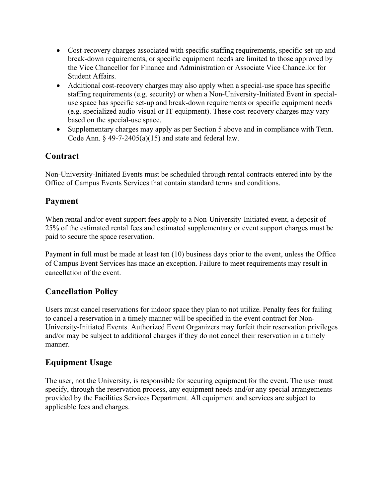- Cost-recovery charges associated with specific staffing requirements, specific set-up and break-down requirements, or specific equipment needs are limited to those approved by the Vice Chancellor for Finance and Administration or Associate Vice Chancellor for Student Affairs.
- Additional cost-recovery charges may also apply when a special-use space has specific staffing requirements (e.g. security) or when a Non-University-Initiated Event in specialuse space has specific set-up and break-down requirements or specific equipment needs (e.g. specialized audio-visual or IT equipment). These cost-recovery charges may vary based on the special-use space.
- Supplementary charges may apply as per Section 5 above and in compliance with Tenn. Code Ann.  $\S$  49-7-2405(a)(15) and state and federal law.

# **Contract**

Non-University-Initiated Events must be scheduled through rental contracts entered into by the Office of Campus Events Services that contain standard terms and conditions.

# **Payment**

When rental and/or event support fees apply to a Non-University-Initiated event, a deposit of 25% of the estimated rental fees and estimated supplementary or event support charges must be paid to secure the space reservation.

Payment in full must be made at least ten (10) business days prior to the event, unless the Office of Campus Event Services has made an exception. Failure to meet requirements may result in cancellation of the event.

# **Cancellation Policy**

Users must cancel reservations for indoor space they plan to not utilize. Penalty fees for failing to cancel a reservation in a timely manner will be specified in the event contract for Non-University-Initiated Events. Authorized Event Organizers may forfeit their reservation privileges and/or may be subject to additional charges if they do not cancel their reservation in a timely manner.

# **Equipment Usage**

The user, not the University, is responsible for securing equipment for the event. The user must specify, through the reservation process, any equipment needs and/or any special arrangements provided by the Facilities Services Department. All equipment and services are subject to applicable fees and charges.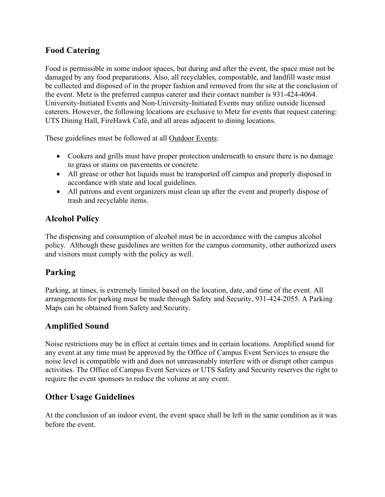### **Food Catering**

Food is permissible in some indoor spaces, but during and after the event, the space must not be damaged by any food preparations. Also, all recyclables, compostable, and landfill waste must be collected and disposed of in the proper fashion and removed from the site at the conclusion of the event. Metz is the preferred campus caterer and their contact number is 931-424-4064. University-Initiated Events and Non-University-Initiated Events may utilize outside licensed caterers. However, the following locations are exclusive to Metz for events that request catering: UTS Dining Hall, FireHawk Café, and all areas adjacent to dining locations.

These guidelines must be followed at all Outdoor Events:

- Cookers and grills must have proper protection underneath to ensure there is no damage to grass or stains on pavements or concrete.
- All grease or other hot liquids must be transported off campus and properly disposed in accordance with state and local guidelines.
- All patrons and event organizers must clean up after the event and properly dispose of trash and recyclable items.

### **Alcohol Policy**

The dispensing and consumption of alcohol must be in accordance with the campus alcohol policy. Although these guidelines are written for the campus community, other authorized users and visitors must comply with the policy as well.

# **Parking**

Parking, at times, is extremely limited based on the location, date, and time of the event. All arrangements for parking must be made through Safety and Security, 931-424-2055. A Parking Maps can be obtained from Safety and Security.

### **Amplified Sound**

Noise restrictions may be in effect at certain times and in certain locations. Amplified sound for any event at any time must be approved by the Office of Campus Event Services to ensure the noise level is compatible with and does not unreasonably interfere with or disrupt other campus activities. The Office of Campus Event Services or UTS Safety and Security reserves the right to require the event sponsors to reduce the volume at any event.

### **Other Usage Guidelines**

At the conclusion of an indoor event, the event space shall be left in the same condition as it was before the event.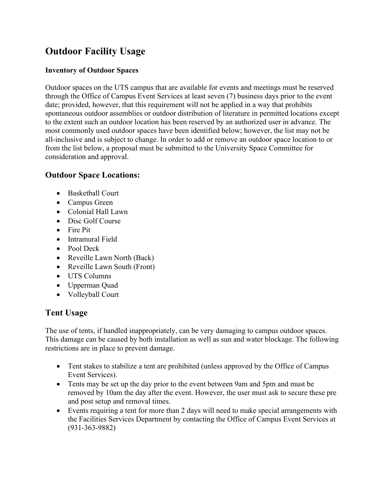# **Outdoor Facility Usage**

#### **Inventory of Outdoor Spaces**

Outdoor spaces on the UTS campus that are available for events and meetings must be reserved through the Office of Campus Event Services at least seven (7) business days prior to the event date; provided, however, that this requirement will not be applied in a way that prohibits spontaneous outdoor assemblies or outdoor distribution of literature in permitted locations except to the extent such an outdoor location has been reserved by an authorized user in advance. The most commonly used outdoor spaces have been identified below; however, the list may not be all-inclusive and is subject to change. In order to add or remove an outdoor space location to or from the list below, a proposal must be submitted to the University Space Committee for consideration and approval.

#### **Outdoor Space Locations:**

- Basketball Court
- Campus Green
- Colonial Hall Lawn
- Disc Golf Course
- Fire Pit
- Intramural Field
- Pool Deck
- Reveille Lawn North (Back)
- Reveille Lawn South (Front)
- UTS Columns
- Upperman Quad
- Volleyball Court

#### **Tent Usage**

The use of tents, if handled inappropriately, can be very damaging to campus outdoor spaces. This damage can be caused by both installation as well as sun and water blockage. The following restrictions are in place to prevent damage.

- Tent stakes to stabilize a tent are prohibited (unless approved by the Office of Campus Event Services).
- Tents may be set up the day prior to the event between 9am and 5pm and must be removed by 10am the day after the event. However, the user must ask to secure these pre and post setup and removal times.
- Events requiring a tent for more than 2 days will need to make special arrangements with the Facilities Services Department by contacting the Office of Campus Event Services at (931-363-9882)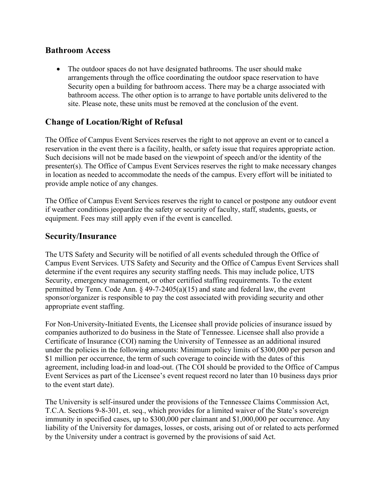#### **Bathroom Access**

• The outdoor spaces do not have designated bathrooms. The user should make arrangements through the office coordinating the outdoor space reservation to have Security open a building for bathroom access. There may be a charge associated with bathroom access. The other option is to arrange to have portable units delivered to the site. Please note, these units must be removed at the conclusion of the event.

# **Change of Location/Right of Refusal**

The Office of Campus Event Services reserves the right to not approve an event or to cancel a reservation in the event there is a facility, health, or safety issue that requires appropriate action. Such decisions will not be made based on the viewpoint of speech and/or the identity of the presenter(s). The Office of Campus Event Services reserves the right to make necessary changes in location as needed to accommodate the needs of the campus. Every effort will be initiated to provide ample notice of any changes.

The Office of Campus Event Services reserves the right to cancel or postpone any outdoor event if weather conditions jeopardize the safety or security of faculty, staff, students, guests, or equipment. Fees may still apply even if the event is cancelled.

#### **Security/Insurance**

The UTS Safety and Security will be notified of all events scheduled through the Office of Campus Event Services. UTS Safety and Security and the Office of Campus Event Services shall determine if the event requires any security staffing needs. This may include police, UTS Security, emergency management, or other certified staffing requirements. To the extent permitted by Tenn. Code Ann. § 49-7-2405(a)(15) and state and federal law, the event sponsor/organizer is responsible to pay the cost associated with providing security and other appropriate event staffing.

For Non-University-Initiated Events, the Licensee shall provide policies of insurance issued by companies authorized to do business in the State of Tennessee. Licensee shall also provide a Certificate of Insurance (COI) naming the University of Tennessee as an additional insured under the policies in the following amounts: Minimum policy limits of \$300,000 per person and \$1 million per occurrence, the term of such coverage to coincide with the dates of this agreement, including load-in and load-out. (The COI should be provided to the Office of Campus Event Services as part of the Licensee's event request record no later than 10 business days prior to the event start date).

The University is self-insured under the provisions of the Tennessee Claims Commission Act, T.C.A. Sections 9-8-301, et. seq., which provides for a limited waiver of the State's sovereign immunity in specified cases, up to \$300,000 per claimant and \$1,000,000 per occurrence. Any liability of the University for damages, losses, or costs, arising out of or related to acts performed by the University under a contract is governed by the provisions of said Act.